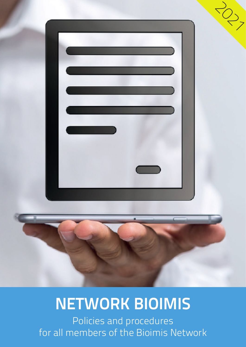

# **NETWORK BIOIMIS**

Policies and procedures for all members of the Bioimis Network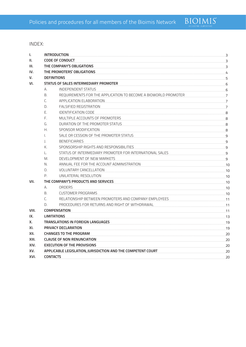

INDEX:

| L.    |                                       | <b>INTRODUCTION</b><br>3                                           |             |  |
|-------|---------------------------------------|--------------------------------------------------------------------|-------------|--|
| II.   |                                       | <b>CODE OF CONDUCT</b><br>3                                        |             |  |
| III.  |                                       | THE COMPANY'S OBLIGATIONS<br>3                                     |             |  |
| IV.   |                                       | THE PROMOTERS' OBLIGATIONS<br>4                                    |             |  |
| v.    |                                       | <b>DEFINITIONS</b>                                                 |             |  |
| VI.   | STATUS OF SALES INTERMEDIARY PROMOTER |                                                                    |             |  |
|       | А.                                    | <b>INDEPENDENT STATUS</b>                                          | 6           |  |
|       | B.                                    | REQUIREMENTS FOR THE APPLICATION TO BECOME A BIOWORLD PROMOTER     | 7           |  |
|       | C.                                    | APPLICATION ELABORATION                                            | 7           |  |
|       | D.                                    | <b>FALSIFIED REGISTRATION</b>                                      | 7           |  |
|       | Е.                                    | <b>IDENTIFICATION CODE</b>                                         | 8           |  |
|       | F.                                    | MULTIPLE ACCOUNTS OF PROMOTERS                                     | 8           |  |
|       | G.                                    | DURATION OF THE PROMOTER STATUS                                    | 8           |  |
|       | Н.                                    | SPONSOR MODIFICATION                                               | 8           |  |
|       | I.                                    | SALE OR CESSION OF THE PROMOTER STATUS                             | - 9         |  |
|       | $\mathbf{L}$                          | <b>BENEFICIARIES</b>                                               | - 9         |  |
|       | К.                                    | SPONSORSHIP RIGHTS AND RESPONSIBILITIES                            | 9           |  |
|       | L.                                    | STATUS OF INTERMEDIARY PROMOTER FOR INTERNATIONAL SALES            | 9           |  |
|       | M.                                    | DEVELOPMENT OF NEW MARKETS                                         | 9           |  |
|       | N.                                    | ANNUAL FEE FOR THE ACCOUNT ADMINISTRATION                          | .10         |  |
|       | О.                                    | <b>VOLUNTARY CANCELLATION</b>                                      | $\sqrt{10}$ |  |
|       | $P_{\cdot}$                           | UNILATERAL RESOLUTION                                              | 10          |  |
| VII.  | THE COMPANY'S PRODUCTS AND SERVICES   |                                                                    | 10          |  |
|       | А.                                    | <b>ORDERS</b>                                                      | 10          |  |
|       | B.                                    | <b>CUSTOMER PROGRAMS</b>                                           | 10          |  |
|       | C.                                    | RELATIONSHIP BETWEEN PROMOTERS AND COMPANY EMPLOYEES               | 11          |  |
|       | D.                                    | PROCEDURES FOR RETURNS AND RIGHT OF WITHDRAWAL                     | 11          |  |
| VIII. |                                       | <b>COMPENSATION</b>                                                | 11          |  |
| IX.   |                                       | <b>LIMITATIONS</b>                                                 |             |  |
| Х.    |                                       | TRANSLATIONS IN FOREIGN LANGUAGES                                  |             |  |
| XI.   |                                       | PRIVACY DECLARATION<br>19                                          |             |  |
| XII.  |                                       | <b>CHANGES TO THE PROGRAM</b><br>20                                |             |  |
| XIII. |                                       | <b>CLAUSE OF NON RENUNCIATION</b><br>20                            |             |  |
| XIV.  |                                       | <b>EXECUTION OF THE PROVISIONS</b><br>20                           |             |  |
| XV.   |                                       | APPLICABLE LEGISLATION, JURISDICTION AND THE COMPETENT COURT<br>20 |             |  |
| XVI.  |                                       | <b>CONTACTS</b>                                                    | 20          |  |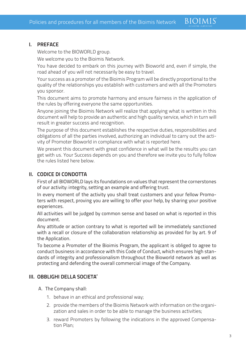## **I. PREFACE**

Welcome to the BIOWORLD group.

We welcome you to the Bioimis Network.

You have decided to embark on this journey with Bioworld and, even if simple, the road ahead of you will not necessarily be easy to travel.

**BIOIMIS** 

Your success as a promoter of the Bioimis Program will be directly proportional to the quality of the relationships you establish with customers and with all the Promoters you sponsor.

This document aims to promote harmony and ensure fairness in the application of the rules by offering everyone the same opportunities.

Anyone joining the Bioimis Network will realize that applying what is written in this document will help to provide an authentic and high quality service, which in turn will result in greater success and recognition.

The purpose of this document establishes the respective duties, responsibilities and obligations of all the parties involved, authorizing an individual to carry out the activity of Promoter Bioworld in compliance with what is reported here.

We present this document with great confidence in what will be the results you can get with us. Your Success depends on you and therefore we invite you to fully follow the rules listed here below.

# **II. CODICE DI CONDOTTA**

First of all BIOWORLD lays its foundations on values that represent the cornerstones of our activity: integrity, setting an example and offering trust.

In every moment of the activity you shall treat customers and your fellow Promoters with respect, proving you are willing to offer your help, by sharing your positive experiences.

All activities will be judged by common sense and based on what is reported in this document.

Any attitude or action contrary to what is reported will be immediately sanctioned with a recall or closure of the collaboration relationship as provided for by art. 9 of the Application.

To become a Promoter of the Bioimis Program, the applicant is obliged to agree to conduct business in accordance with this Code of Conduct, which ensures high standards of integrity and professionalism throughout the Bioworld network as well as protecting and defending the overall commercial image of the Company.

# **III. OBBLIGHI DELLA SOCIETA'**

- A. The Company shall:
	- 1. behave in an ethical and professional way;
	- 2. provide the members of the Bioimis Network with information on the organization and sales in order to be able to manage the business activities;
	- 3. reward Promoters by following the indications in the approved Compensation Plan;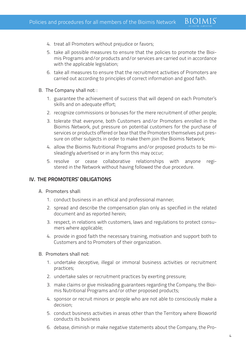- 4. treat all Promoters without prejudice or favors;
- 5. take all possible measures to ensure that the policies to promote the Bioimis Programs and/or products and/or services are carried out in accordance with the applicable legislation;
- 6. take all measures to ensure that the recruitment activities of Promoters are carried out according to principles of correct information and good faith.
- B. The Company shall not: :
	- 1. guarantee the achievement of success that will depend on each Promoter's skills and on adequate effort;
	- 2. recognize commissions or bonuses for the mere recruitment of other people;
	- 3. tolerate that everyone, both Customers and/or Promoters enrolled in the Bioimis Network, put pressure on potential customers for the purchase of services or products offered or bear that the Promoters themselves put pressure on other subjects in order to make them join the Bioimis Network;
	- 4. allow the Bioimis Nutritional Programs and/or proposed products to be misleadingly advertised or in any form this may occur;
	- 5. resolve or cease collaborative relationships with anyone registered in the Network without having followed the due procedure.

# **IV. THE PROMOTERS' OBLIGATIONS**

- A. Promoters shall:
	- 1. conduct business in an ethical and professional manner;
	- 2. spread and describe the compensation plan only as specified in the related document and as reported herein;
	- 3. respect, in relations with customers, laws and regulations to protect consumers where applicable;
	- 4. provide in good faith the necessary training, motivation and support both to Customers and to Promoters of their organization.
- B. Promoters shall not:
	- 1. undertake deceptive, illegal or immoral business activities or recruitment practices;
	- 2. undertake sales or recruitment practices by exerting pressure;
	- 3. make claims or give misleading guarantees regarding the Company, the Bioimis Nutritional Programs and/or other proposed products;
	- 4. sponsor or recruit minors or people who are not able to consciously make a decision;
	- 5. conduct business activities in areas other than the Territory where Bioworld conducts its business
	- 6. debase, diminish or make negative statements about the Company, the Pro-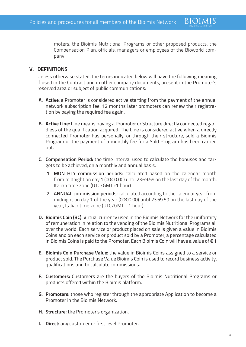moters, the Bioimis Nutritional Programs or other proposed products, the Compensation Plan, officials, managers or employees of the Bioworld company

**BIOIMIS** 

# **V. DEFINITIONS**

Unless otherwise stated, the terms indicated below will have the following meaning if used in the Contract and in other company documents, present in the Promoter's reserved area or subject of public communications:

- **A. Active**: a Promoter is considered active starting from the payment of the annual network subscription fee. 12 months later promoters can renew their registration by paying the required fee again.
- **B. Active Line:** Line means having a Promoter or Structure directly connected regardless of the qualification acquired. The Line is considered active when a directly connected Promoter has personally, or through their structure, sold a Bioimis Program or the payment of a monthly fee for a Sold Program has been carried out.
- **C. Compensation Period:** the time interval used to calculate the bonuses and targets to be achieved, on a monthly and annual basis.
	- 1. MONTHLY commission periods: calculated based on the calendar month from midnight on day 1 (00:00.00) until 23:59.59 on the last day of the month, Italian time zone (UTC/GMT +1 hour)
	- 2. ANNUAL commission periods: calculated according to the calendar year from midnight on day 1 of the year (00:00.00) until 23:59.59 on the last day of the year, Italian time zone (UTC/GMT + 1 hour)
- **D. Bioimis Coin (BC):** Virtual currency used in the Bioimis Network for the uniformity of remuneration in relation to the vending of the Bioimis Nutritional Programs all over the world. Each service or product placed on sale is given a value in Bioimis Coins and on each service or product sold by a Promoter, a percentage calculated in Bioimis Coins is paid to the Promoter. Each Bioimis Coin will have a value of € 1
- **E. Bioimis Coin Purchase Value:** the value in Bioimis Coins assigned to a service or product sold. The Purchase Value Bioimis Coin is used to record business activity, qualifications and to calculate commissions.
- **F. Customers:** Customers are the buyers of the Bioimis Nutritional Programs or products offered within the Bioimis platform.
- **G. Promoters:** those who register through the appropriate Application to become a Promoter in the Bioimis Network.
- **H. Structure:** the Promoter's organization.
- **I. Direct:** any customer or first level Promoter.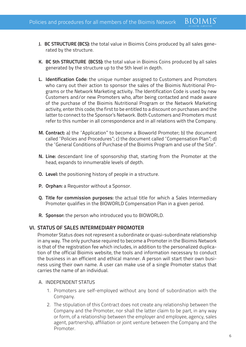- **J. BC STRUCTURE (BCS):** the total value in Bioimis Coins produced by all sales generated by the structure.
- **K. BC 5th STRUCTURE (BCS5):** the total value in Bioimis Coins produced by all sales generated by the structure up to the 5th level in depth.
- **L. Identification Code:** the unique number assigned to Customers and Promoters who carry out their action to sponsor the sales of the Bioimis Nutritional Programs or the Network Marketing activity. The Identification Code is used by new Customers and/or new Promoters who, after being contacted and made aware of the purchase of the Bioimis Nutritional Program or the Network Marketing activity, enter this code; the first to be entitled to a discount on purchases and the latter to connect to the Sponsor's Network. Both Customers and Promoters must refer to this number in all correspondence and in all relations with the Company.
- **M. Contract:** a) the "Application" to become a Bioworld Promoter; b) the document called "Policies and Procedures"; c) the document called "Compensation Plan"; d) the "General Conditions of Purchase of the Bioimis Program and use of the Site".
- **N. Line:** descendant line of sponsorship that, starting from the Promoter at the head, expands to innumerable levels of depth.
- **O. Level:** the positioning history of people in a structure.
- **P. Orphan:** a Requestor without a Sponsor.
- **Q. Title for commission purposes:** the actual title for which a Sales Intermediary Promoter qualifies in the BIOWORLD Compensation Plan in a given period.
- **R. Sponsor:** the person who introduced you to BIOWORLD.

#### **VI. STATUS OF SALES INTERMEDIARY PROMOTER**

Promoter Status does not represent a subordinate or quasi-subordinate relationship in any way. The only purchase required to become a Promoter in the Bioimis Network is that of the registration fee which includes, in addition to the personalized duplication of the official Bioimis website, the tools and information necessary to conduct the business in an efficient and ethical manner. A person will start their own business using their own name. A user can make use of a single Promoter status that carries the name of an individual.

#### A. INDEPENDENT STATUS

- 1. Promoters are self-employed without any bond of subordination with the Company.
- 2. The stipulation of this Contract does not create any relationship between the Company and the Promoter, nor shall the latter claim to be part, in any way or form, of a relationship between the employer and employee, agency, sales agent, partnership, affiliation or joint venture between the Company and the Promoter.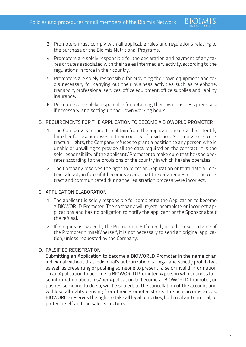- 3. Promoters must comply with all applicable rules and regulations relating to the purchase of the Bioimis Nutritional Programs.
- 4. Promoters are solely responsible for the declaration and payment of any taxes or taxes associated with their sales intermediary activity, according to the regulations in force in their country.
- 5. Promoters are solely responsible for providing their own equipment and tools necessary for carrying out their business activities such as telephone, transport, professional services, office equipment, office supplies and liability insurance.
- 6. Promoters are solely responsible for obtaining their own business premises, if necessary, and setting up their own working hours.

## B. REQUIREMENTS FOR THE APPLICATION TO BECOME A BIOWORLD PROMOTER

- 1. The Company is required to obtain from the applicant the data that identify him/her for tax purposes in their country of residence. According to its contractual rights, the Company refuses to grant a position to any person who is unable or unwilling to provide all the data required on the contract. It is the sole responsibility of the applicant/Promoter to make sure that he/she operates according to the provisions of the country in which he/she operates.
- 2. The Company reserves the right to reject an Application or terminate a Contract already in force if it becomes aware that the data requested in the contract and communicated during the registration process were incorrect.

#### C. APPLICATION ELABORATION

- 1. The applicant is solely responsible for completing the Application to become a BIOWORLD Promoter. The company will reject incomplete or incorrect applications and has no obligation to notify the applicant or the Sponsor about the refusal.
- 2. If a request is loaded by the Promoter in Pdf directly into the reserved area of the Promoter himself/herself, it is not necessary to send an original application, unless requested by the Company.

#### D. FALSIFIED REGISTRATION

Submitting an Application to become a BIOWORLD Promoter in the name of an individual without that individual's authorization is illegal and strictly prohibited, as well as presenting or pushing someone to present false or invalid information on an Application to become a BIOWORLD Promoter. A person who submits false information about his/her Application to become a BIOWORLD Promoter, or pushes someone to do so, will be subject to the cancellation of the account and will lose all rights deriving from their Promoter status. In such circumstances, BIOWORLD reserves the right to take all legal remedies, both civil and criminal, to protect itself and the sales structure.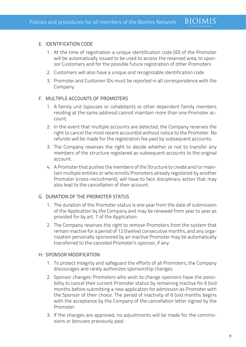#### E. IDENTIFICATION CODE

1. At the time of registration a unique identification code (ID) of the Promoter will be automatically issued to be used to access the reserved area, to sponsor Customers and for the possible future registration of other Promoters

**BIOIMIS** 

- 2. Customers will also have a unique and recognizable identification code
- 3. Promoter and Customer IDs must be reported in all correspondence with the Company.

#### F. MULTIPLE ACCOUNTS OF PROMOTERS

- 1. A family unit (spouses or cohabitants or other dependent family members residing at the same address) cannot maintain more than one Promoter account.
- 2. In the event that multiple accounts are detected, the Company reserves the right to cancel the most recent account(s) without notice to the Promoter. No refunds will be made for the registration fee paid by subsequent accounts.
- 3. The Company reserves the right to decide whether or not to transfer any members of the structure registered as subsequent accounts to the original account.
- 4. A Promoter that pushes the members of the Structure to create and/or maintain multiple entities or who enrolls Promoters already registered by another Promoter (cross-recruitment), will have to face disciplinary action that may also lead to the cancellation of their account.

#### G. DURATION OF THE PROMOTER STATUS

- 1. The duration of the Promoter status is one year from the date of submission of the Application by the Company and may be renewed from year to year as provided for by art. 7 of the Application.
- 2. The Company reserves the right to remove Promoters from the system that remain inactive for a period of 12 (twelve) consecutive months, and any organization personally sponsored by an inactive Promoter may be automatically transferred to the canceled Promoter's sponsor, if any.
- H. SPONSOR MODIFICATION
	- 1. To protect integrity and safeguard the efforts of all Promoters, the Company discourages and rarely authorizes sponsorship changes.
	- 2. Sponsor changes: Promoters who wish to change sponsors have the possibility to cancel their current Promoter status by remaining inactive for 6 (six) months before submitting a new application for admission as Promoter with the Sponsor of their choice. The period of inactivity of 6 (six) months begins with the acceptance by the Company of the cancellation letter signed by the Promoter.
	- 3. If the changes are approved, no adjustments will be made for the commissions or bonuses previously paid.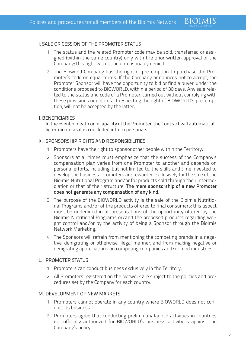#### I. SALE OR CESSION OF THE PROMOTER STATUS

- 1. The status and the related Promoter code may be sold, transferred or assigned (within the same country) only with the prior written approval of the Company; this right will not be unreasonably denied.
- 2. The Bioworld Company has the right of pre-emption to purchase the Promoter's code on equal terms. If the Company announces not to accept, the Promoter Sponsor will have the opportunity to bid or find a buyer, under the conditions proposed to BIOWORLD, within a period of 30 days. Any sale related to the status and code of a Promoter, carried out without complying with these provisions or not in fact respecting the right of BIOWORLD's pre-emption, will not be accepted by the latter.

#### J.BENEFICIARIES

In the event of death or incapacity of the Promoter, the Contract will automatically terminate as it is concluded intuitu personae.

#### K. SPONSORSHIP RIGHTS AND RESPONSIBILITIES

- 1. Promoters have the right to sponsor other people within the Territory.
- 2. Sponsors at all times must emphasize that the success of the Company's compensation plan varies from one Promoter to another and depends on personal efforts, including, but not limited to, the skills and time invested to develop the business. Promoters are rewarded exclusively for the sale of the Bioimis Nutritional Program and/or for products sold through their intermediation or that of their structure. The mere sponsorship of a new Promoter does not generate any compensation of any kind.
- 3. The purpose of the BIOWORLD activity is the sale of the Bioimis Nutritional Programs and/or of the products offered to final consumers; this aspect must be underlined in all presentations of the opportunity offered by the Bioimis Nutritional Programs or/and the proposed products regarding weight control and/or by the activity of being a Sponsor through the Bioimis Network Marketing.
- 4. The Sponsors will refrain from mentioning the competing brands in a negative, denigrating or otherwise illegal manner, and from making negative or denigrating appreciations on competing companies and/or food industries.

#### L. PROMOTER STATUS

- 1. Promoters can conduct business exclusively in the Territory.
- 2. All Promoters registered on the Network are subject to the policies and procedures set by the Company for each country.

#### M. DEVELOPMENT OF NEW MARKETS

- 1. Promoters cannot operate in any country where BIOWORLD does not conduct its business.
- 2. Promoters agree that conducting preliminary launch activities in countries not officially authorized for BIOWORLD's business activity is against the Company's policy.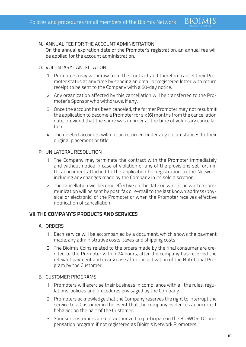#### N. ANNUAL FEE FOR THE ACCOUNT ADMINISTRATION

On the annual expiration date of the Promoter's registration, an annual fee will be applied for the account administration.

**BIOIMIS** 

#### O. VOLUNTARY CANCELLATION

- 1. Promoters may withdraw from the Contract and therefore cancel their Promoter status at any time by sending an email or registered letter with return receipt to be sent to the Company with a 30-day notice.
- 2. Any organization affected by this cancellation will be transferred to the Promoter's Sponsor who withdraws, if any.
- 3. Once the account has been canceled, the former Promoter may not resubmit the application to become a Promoter for six (6) months from the cancellation date, provided that the same was in order at the time of voluntary cancellation.
- 4. The deleted accounts will not be returned under any circumstances to their original placement or title.

#### P. UNILATERAL RESOLUTION

- 1. The Company may terminate the contract with the Promoter immediately and without notice in case of violation of any of the provisions set forth in this document attached to the application for registration to the Network, including any changes made by the Company in its sole discretion.
- 2. The cancellation will become effective on the date on which the written communication will be sent by post, fax or e-mail to the last known address (physical or electronic) of the Promoter or when the Promoter receives effective notification of cancellation.

#### **VII. THE COMPANY'S PRODUCTS AND SERVICES**

#### A. ORDERS

- 1. Each service will be accompanied by a document, which shows the payment made, any administrative costs, taxes and shipping costs.
- 2. The Bioimis Coins related to the orders made by the final consumer are credited to the Promoter within 24 hours, after the company has received the relevant payment and in any case after the activation of the Nutritional Program by the Customer.

#### B. CUSTOMER PROGRAMS

- 1. Promoters will exercise their business in compliance with all the rules, regulations, policies and procedures envisaged by the Company.
- 2. Promoters acknowledge that the Company reserves the right to interrupt the service to a Customer in the event that the company evidences an incorrect behavior on the part of the Customer.
- 3. Sponsor Customers are not authorized to participate in the BIOWORLD compensation program if not registered as Bioimis Network Promoters.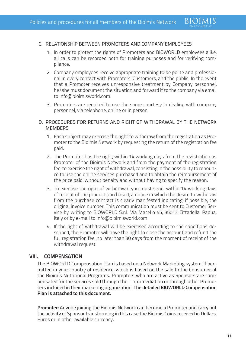### C. RELATIONSHIP BETWEEN PROMOTERS AND COMPANY EMPLOYEES

- 1. In order to protect the rights of Promoters and BIOWORLD employees alike, all calls can be recorded both for training purposes and for verifying compliance.
- 2. Company employees receive appropriate training to be polite and professional in every contact with Promoters, Customers, and the public. In the event that a Promoter receives unresponsive treatment by Company personnel, he/she must document the situation and forward it to the company via email to info@bioimisworld.com.
- 3. Promoters are required to use the same courtesy in dealing with company personnel, via telephone, online or in person.
- D. PROCEDURES FOR RETURNS AND RIGHT OF WITHDRAWAL BY THE NETWORK **MEMBERS** 
	- 1. Each subject may exercise the right to withdraw from the registration as Promoter to the Bioimis Network by requesting the return of the registration fee paid.
	- 2. The Promoter has the right, within 14 working days from the registration as Promoter of the Bioimis Network and from the payment of the registration fee, to exercise the right of withdrawal, consisting in the possibility to renounce to use the online services purchased and to obtain the reimbursement of the price paid, without penalty and without having to specify the reason.
	- 3. To exercise the right of withdrawal you must send, within 14 working days of receipt of the product purchased, a notice in which the desire to withdraw from the purchase contract is clearly manifested indicating, if possible, the original invoice number. This communication must be sent to Customer Service by writing to BIOWORLD S.r.l. Via Macello 45, 35013 Cittadella, Padua, Italy or by e-mail to info@bioimisworld.com
	- 4. If the right of withdrawal will be exercised according to the conditions described, the Promoter will have the right to close the account and refund the full registration fee, no later than 30 days from the moment of receipt of the withdrawal request.

# **VIII. COMPENSATION**

The BIOWORLD Compensation Plan is based on a Network Marketing system, if permitted in your country of residence, which is based on the sale to the Consumer of the Bioimis Nutritional Programs. Promoters who are active as Sponsors are compensated for the services sold through their intermediation or through other Promoters included in their marketing organization. **The detailed BIOWORLD Compensation Plan is attached to this document.** 

**Promoter:** Anyone joining the Bioimis Network can become a Promoter and carry out the activity of Sponsor transforming in this case the Bioimis Coins received in Dollars, Euros or in other available currency.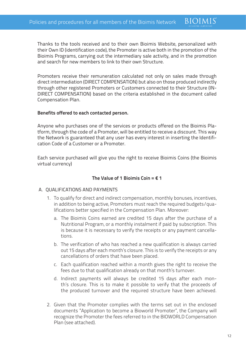Thanks to the tools received and to their own Bioimis Website, personalized with their Own ID (identification code), the Promoter is active both in the promotion of the Bioimis Programs, carrying out the intermediary sale activity, and in the promotion and search for new members to link to their own Structure.

**BIOIMIS** 

Promoters receive their remuneration calculated not only on sales made through direct intermediation (DIRECT COMPENSATION) but also on those produced indirectly through other registered Promoters or Customers connected to their Structure (IN-DIRECT COMPENSATION) based on the criteria established in the document called Compensation Plan.

### **Benefits offered to each contacted person.**

Anyone who purchases one of the services or products offered on the Bioimis Platform, through the code of a Promoter, will be entitled to receive a discount. This way the Network is guaranteed that any user has every interest in inserting the Identification Code of a Customer or a Promoter.

Each service purchased will give you the right to receive Bioimis Coins (the Bioimis virtual currency)

## **The Value of 1 Bioimis Coin = € 1**

#### A. QUALIFICATIONS AND PAYMENTS

- 1. To qualify for direct and indirect compensation, monthly bonuses, incentives, in addition to being active, Promoters must reach the required budgets/qualifications better specified in the Compensation Plan. Moreover:
	- a. The Bioimis Coins earned are credited 15 days after the purchase of a Nutritional Program, or a monthly instalment if paid by subscription. This is because it is necessary to verify the receipts or any payment cancellations.
	- b. The verification of who has reached a new qualification is always carried out 15 days after each month's closure. This is to verify the receipts or any cancellations of orders that have been placed.
	- c. Each qualification reached within a month gives the right to receive the fees due to that qualification already on that month's turnover.
	- d. Indirect payments will always be credited 15 days after each month's closure. This is to make it possible to verify that the proceeds of the produced turnover and the required structure have been achieved.
- 2. Given that the Promoter complies with the terms set out in the enclosed documents "Application to become a Bioworld Promoter", the Company will recognize the Promoter the fees referred to in the BIOWORLD Compensation Plan (see attached).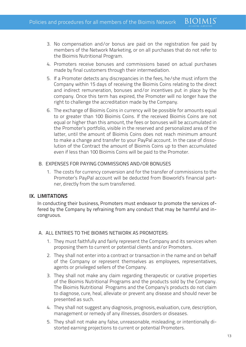3. No compensation and/or bonus are paid on the registration fee paid by members of the Network Marketing, or on all purchases that do not refer to the Bioimis Nutritional Program.

**BIOIMIS** 

- 4. Promoters receive bonuses and commissions based on actual purchases made by final customers through their intermediation.
- 5. If a Promoter detects any discrepancies in the fees, he/she must inform the Company within 15 days of receiving the Bioimis Coins relating to the direct and indirect remuneration, bonuses and/or incentives put in place by the company. Once this term has expired, the Promoter will no longer have the right to challenge the accreditation made by the Company.
- 6. The exchange of Bioimis Coins in currency will be possible for amounts equal to or greater than 100 Bioimis Coins. If the received Bioimis Coins are not equal or higher than this amount, the fees or bonuses will be accumulated in the Promoter's portfolio, visible in the reserved and personalized area of the latter, until the amount of Bioimis Coins does not reach minimum amount to make a change and transfer to your PayPal account. In the case of dissolution of the Contract the amount of Bioimis Coins up to then accumulated even if less than 100 Bioimis Coins will be paid to the Promoter.

#### B. EXPENSES FOR PAYING COMMISSIONS AND/OR BONUSES

1. The costs for currency conversion and for the transfer of commissions to the Promoter's PayPal account will be deducted from Bioworld's financial partner, directly from the sum transferred.

# **IX. LIMITATIONS**

In conducting their business, Promoters must endeavor to promote the services offered by the Company by refraining from any conduct that may be harmful and incongruous.

#### A. ALL ENTRIES TO THE BIOIMIS NETWORK AS PROMOTERS:

- 1. They must faithfully and fairly represent the Company and its services when proposing them to current or potential clients and/or Promoters.
- 2. They shall not enter into a contract or transaction in the name and on behalf of the Company or represent themselves as employees, representatives, agents or privileged sellers of the Company.
- 3. They shall not make any claim regarding therapeutic or curative properties of the Bioimis Nutritional Programs and the products sold by the Company. The Bioimis Nutritional Programs and the Company's products do not claim to diagnose, cure, heal, alleviate or prevent any disease and should never be presented as such.
- 4. They shall not suggest any diagnosis, prognosis, evaluation, cure, description, management or remedy of any illnesses, disorders or diseases.
- 5. They shall not make any false, unreasonable, misleading, or intentionally distorted earning projections to current or potential Promoters.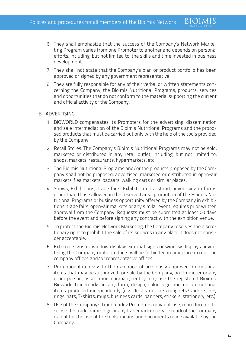6. They shall emphasize that the success of the Company's Network Marketing Program varies from one Promoter to another and depends on personal efforts, including, but not limited to, the skills and time invested in business development.

**BIOIMIS** 

- 7. They shall not state that the Company's plan or product portfolio has been approved or signed by any government representative.
- 8. They are fully responsible for any of their verbal or written statements concerning the Company, the Bioimis Nutritional Programs, products, services and opportunities that do not conform to the material supporting the current and official activity of the Company.

#### B. ADVERTISING

- 1. BIOWORLD compensates its Promoters for the advertising, dissemination and sale intermediation of the Bioimis Nutritional Programs and the proposed products that must be carried out only with the help of the tools provided by the Company
- 2. Retail Stores: The Company's Bioimis Nutritional Programs may not be sold, marketed or distributed in any retail outlet, including, but not limited to, shops, markets, restaurants, hypermarkets, etc.
- 3. The Bioimis Nutritional Programs and/or the products proposed by the Company shall not be proposed, advertised, marketed or distributed in open-air markets, flea markets, bazaars, walking carts or similar places.
- 4. Shows, Exhibitions, Trade fairs: Exhibition on a stand, advertising in forms other than those allowed in the reserved area, promotion of the Bioimis Nutritional Programs or business opportunity offered by the Company in exhibitions, trade fairs, open-air markets or any similar event requires prior written approval from the Company. Requests must be submitted at least 60 days before the event and before signing any contract with the exhibition venue.
- 5. To protect the Bioimis Network Marketing, the Company reserves the discretionary right to prohibit the sale of its services in any place it does not consider acceptable.
- 6. External signs or window display: external signs or window displays advertising the Company or its products will be forbidden in any place except the company offices and/or representative offices.
- 7. Promotional items: with the exception of previously approved promotional items that may be authorized for sale by the Company, no Promoter or any other person, association, company, entity may use the registered Bioimis, Bioworld trademarks in any form, design, color, logo and no promotional items produced independently (e.g. decals on cars/magnets/stickers, key rings, hats, T-shirts, mugs, business cards, banners, stickers, stationery, etc.).
- 8. Use of the Company's trademarks: Promoters may not use, reproduce or disclose the trade name, logo or any trademark or service mark of the Company except for the use of the tools, means and documents made available by the Company.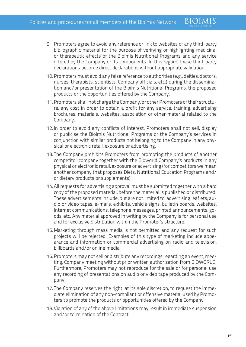9. Promoters agree to avoid any reference or link to websites of any third-party bibliographic material for the purpose of verifying or highlighting medicinal or therapeutic effects of the Bioimis Nutritional Programs and any service offered by the Company or its components. In this regard, these third-party declarations become direct declarations without appropriate validation.

**BIOIMIS** 

- 10.Promoters must avoid any false reference to authorities (e.g., deities, doctors, nurses, therapists, scientists, Company officials, etc.) during the dissemination and/or presentation of the Bioimis Nutritional Programs, the proposed products or the opportunities offered by the Company.
- 11.Promoters shall not charge the Company, or other Promoters of their structure, any cost in order to obtain a profit for any service, training, advertising brochures, materials, websites, association or other material related to the Company.
- 12.In order to avoid any conflicts of interest, Promoters shall not sell, display or publicise the Bioimis Nutritional Programs or the Company's services in conjunction with similar products not belonging to the Company in any physical or electronic retail, exposure or advertising.
- 13.The Company prohibits Promoters from promoting the products of another competitor company together with the Bioworld Company's products in any physical or electronic retail, exposure or advertising (for competitors we mean another company that proposes Diets, Nutritional Education Programs and/ or dietary products or supplements).
- 14.All requests for advertising approval must be submitted together with a hard copy of the proposed material, before the material is published or distributed. These advertisements include, but are not limited to: advertising leaflets, audio or video tapes, e-mails, exhibits, vehicle signs, bulletin boards, websites, Internet communications, telephone messages, printed announcements, goods, etc. Any material approved in writing by the Company is for personal use and for exclusive distribution within the Promoter's structure.
- 15.Marketing through mass media is not permitted and any request for such projects will be rejected. Examples of this type of marketing include appearance and information or commercial advertising on radio and television, billboards and/or online media.
- 16.Promoters may not sell or distribute any recordings regarding an event, meeting, Company meeting without prior written authorization from BIOWORLD. Furthermore, Promoters may not reproduce for the sale or for personal use any recording of presentations on audio or video tape produced by the Company.
- 17.The Company reserves the right, at its sole discretion, to request the immediate elimination of any non-compliant or offensive material used by Promoters to promote the products or opportunities offered by the Company.
- 18.Violation of any of the above limitations may result in immediate suspension and/or termination of the Contract.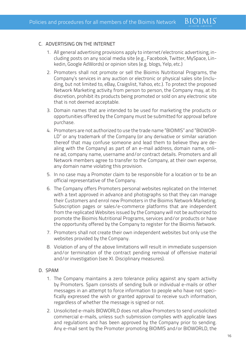#### C. ADVERTISING ON THE INTERNET

- 1. All general advertising provisions apply to internet/electronic advertising, including posts on any social media site (e.g., Facebook, Twitter, MySpace, Linkedin, Google AdWords) or opinion sites (e.g. blogs, Yelp, etc.)
- 2. Promoters shall not promote or sell the Bioimis Nutritional Programs, the Company's services in any auction or electronic or physical sales site (including, but not limited to, eBay, Craigslist, Yahoo, etc.). To protect the proposed Network Marketing activity from person to person, the Company may, at its discretion, prohibit its products being promoted or sold on any electronic site that is not deemed acceptable.
- 3. Domain names that are intended to be used for marketing the products or opportunities offered by the Company must be submitted for approval before purchase.
- 4. Promoters are not authorized to use the trade name "BIOIMIS" and "BIOWOR-LD" or any trademark of the Company (or any derivative or similar variation thereof that may confuse someone and lead them to believe they are dealing with the Company) as part of an e-mail address, domain name, online ad, company name, username and/or contract details. Promoters and all Network members agree to transfer to the Company, at their own expense, any domain name violating this provision.
- 5. In no case may a Promoter claim to be responsible for a location or to be an official representative of the Company.
- 6. The Company offers Promoters personal websites replicated on the Internet with a text approved in advance and photographs so that they can manage their Customers and enrol new Promoters in the Bioimis Network Marketing. Subscription pages or sales/e-commerce platforms that are independent from the replicated Websites issued by the Company will not be authorized to promote the Bioimis Nutritional Programs, services and/or products or have the opportunity offered by the Company to register for the Bioimis Network.
- 7. Promoters shall not create their own independent websites but only use the websites provided by the Company.
- 8. Violation of any of the above limitations will result in immediate suspension and/or termination of the contract pending removal of offensive material and/or investigation (see XI. Disciplinary measures).

#### D. SPAM

- 1. The Company maintains a zero tolerance policy against any spam activity by Promoters. Spam consists of sending bulk or individual e-mails or other messages in an attempt to force information to people who have not specifically expressed the wish or granted approval to receive such information, regardless of whether the message is signed or not.
- 2. Unsolicited e-mails BIOWORLD does not allow Promoters to send unsolicited commercial e-mails, unless such submission complies with applicable laws and regulations and has been approved by the Company prior to sending. Any e-mail sent by the Promoter promoting BIOIMIS and/or BIOWORLD, the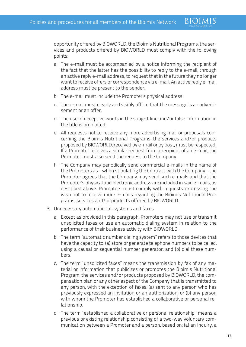**BIOIMIS** 

opportunity offered by BIOWORLD, the Bioimis Nutritional Programs, the services and products offered by BIOWORLD must comply with the following points:

- a. The e-mail must be accompanied by a notice informing the recipient of the fact that the latter has the possibility to reply to the e-mail, through an active reply e-mail address, to request that in the future they no longer want to receive offers or correspondence via e-mail. An active reply e-mail address must be present to the sender.
- b. The e-mail must include the Promoter's physical address.
- c. The e-mail must clearly and visibly affirm that the message is an advertisement or an offer.
- d. The use of deceptive words in the subject line and/or false information in the title is prohibited.
- e. All requests not to receive any more advertising mail or proposals concerning the Bioimis Nutritional Programs, the services and/or products proposed by BIOWORLD, received by e-mail or by post, must be respected. If a Promoter receives a similar request from a recipient of an e-mail, the Promoter must also send the request to the Company.
- f. The Company may periodically send commercial e-mails in the name of the Promoters as - when stipulating the Contract with the Company - the Promoter agrees that the Company may send such e-mails and that the Promoter's physical and electronic address are included in said e-mails, as described above. Promoters must comply with requests expressing the wish not to receive more e-mails regarding the Bioimis Nutritional Programs, services and/or products offered by BIOWORLD.
- 3. Unnecessary automatic call systems and faxes
	- a. Except as provided in this paragraph, Promoters may not use or transmit unsolicited faxes or use an automatic dialing system in relation to the performance of their business activity with BIOWORLD.
	- b. The term "automatic number dialing system" refers to those devices that have the capacity to: (a) store or generate telephone numbers to be called, using a causal or sequential number generator; and (b) dial these numbers.
	- c. The term "unsolicited faxes" means the transmission by fax of any material or information that publicizes or promotes the Bioimis Nutritional Program, the services and/or products proposed by BIOWORLD, the compensation plan or any other aspect of the Company that is transmitted to any person, with the exception of faxes: (a) sent to any person who has previously expressed an invitation or an authorization; or (b) any person with whom the Promoter has established a collaborative or personal relationship.
	- d. The term "established a collaborative or personal relationship" means a previous or existing relationship consisting of a two-way voluntary communication between a Promoter and a person, based on: (a) an inquiry, a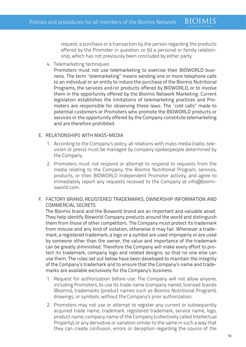request, a purchase or a transaction by the person regarding the products offered by the Promoter in question; or (b) a personal or family relationship, which has not previously been concluded by either party.

**BIOIMIS** 

4. Telemarketing techniques

Promoters must not use telemarketing to exercise their BIOWORLD business. The term "telemarketing" means sending one or more telephone calls to an individual or an entity to induce the purchase of the Bioimis Nutritional Programs, the services and/or products offered by BIOWORLD, or to involve them in the opportunity offered by the Bioimis Network Marketing. Current legislation establishes the limitations of telemarketing practices and Promoters are responsible for observing these laws. The "cold calls" made to potential customers or Promoters who promote the BIOWORLD products or services or the opportunity offered by the Company constitute telemarketing and are therefore prohibited.

#### E. RELATIONSHIPS WITH MASS-MEDIA

- 1. According to the Company's policy, all relations with mass media (radio, television or press) must be managed by company spokespeople determined by the Company.
- 2. Promoters must not respond or attempt to respond to requests from the media relating to the Company, the Bioimis Nutritional Program, services, products, or their BIOWORLD Independent Promoter activity, and agree to immediately report any requests received to the Company at info@bioimisworld.com.

# F. FACTORY BRAND, REGISTERED TRADEMARKS, OWNERSHIP INFORMATION AND COMMERCIAL SECRETS

The Bioimis brand and the Bioworld brand are an important and valuable asset. They help identify Bioworld Company products around the world and distinguish them from those of other competitors. The Company must protect its trademark from misuse and any kind of violation, otherwise it may fail. Whenever a trademark, a registered trademark, a logo or a symbol are used improperly or are used by someone other than the owner, the value and importance of the trademark can be greatly diminished. Therefore the Company will make every effort to protect its trademark, company logo and related designs, so that no one else can use them. The rules set out below have been developed to maintain the integrity of the Company's trademark and to ensure that the Company's name and trademarks are available exclusively for the Company's business.

- 1. Request for authorization before use: The Company will not allow anyone, including Promoters, to use its trade name (company name), licensed brands (Bioimis), trademarks (product names such as Bioimis Nutritional Program), drawings, or symbols, without the Company's prior authorization.
- 2. Promoters may not use or attempt to register any current or subsequently acquired trade name, trademark, registered trademark, service name, logo, product name, company name of the Company (collectively called Intellectual Property), or any derivative or variation similar to the same in such a way that they can create confusion, errors or deception regarding the source of the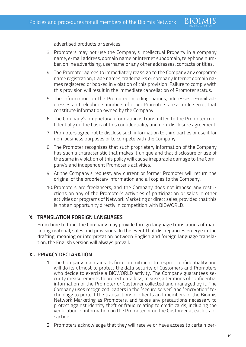**BIOIMIS** 

advertised products or services.

- 3. Promoters may not use the Company's Intellectual Property in a company name, e-mail address, domain name or Internet subdomain, telephone number, online advertising, username or any other addresses, contacts or titles.
- 4. The Promoter agrees to immediately reassign to the Company any corporate name registration, trade names, trademarks or company Internet domain names registered or booked in violation of this provision. Failure to comply with this provision will result in the immediate cancellation of Promoter status.
- 5. The information on the Promoter including: names, addresses, e-mail addresses and telephone numbers of other Promoters are a trade secret that constitute information owned by the Company.
- 6. The Company's proprietary information is transmitted to the Promoter confidentially on the basis of this confidentiality and non-disclosure agreement.
- 7. Promoters agree not to disclose such information to third parties or use it for non-business purposes or to compete with the Company.
- 8. The Promoter recognizes that such proprietary information of the Company has such a characteristic that makes it unique and that disclosure or use of the same in violation of this policy will cause irreparable damage to the Company's and independent Promoter's activities.
- 9. At the Company's request, any current or former Promoter will return the original of the proprietary information and all copies to the Company.
- 10.Promoters are freelancers, and the Company does not impose any restrictions on any of the Promoter's activities of participation or sales in other activities or programs of Network Marketing or direct sales, provided that this is not an opportunity directly in competition with BIOWORLD.

# **X. TRANSLATION FOREIGN LANGUAGES**

From time to time, the Company may provide foreign language translations of marketing material, sales and provisions. In the event that discrepancies emerge in the drafting, meaning or interpretation between English and foreign language translation, the English version will always prevail.

#### **XI. PRIVACY DECLARATION**

- 1. The Company maintains its firm commitment to respect confidentiality and will do its utmost to protect the data security of Customers and Promoters who decide to exercise a BIOWORLD activity. The Company guarantees security measurements to protect data loss, misuse, alterations of confidential information of the Promoter or Customer collected and managed by it. The Company uses recognized leaders in the "secure server" and "encryption" technology to protect the transactions of Clients and members of the Bioimis Network Marketing as Promoters, and takes any precautions necessary to protect against identity theft or fraud relating to credit cards, including the verification of information on the Promoter or on the Customer at each transaction.
- 2. Promoters acknowledge that they will receive or have access to certain per-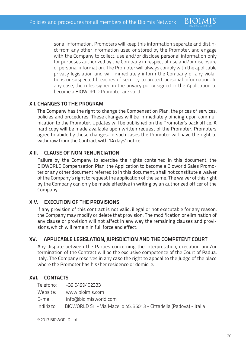sonal information. Promoters will keep this information separate and distinct from any other information used or stored by the Promoter, and engage with the Company to collect, use and/or disclose personal information only for purposes authorized by the Company in respect of use and/or disclosure of personal information. The Promoter will always comply with the applicable privacy legislation and will immediately inform the Company of any violations or suspected breaches of security to protect personal information. In any case, the rules signed in the privacy policy signed in the Application to become a BIOWORLD Promoter are valid

**BIOIMIS** 

# **XII. CHANGES TO THE PROGRAM**

The Company has the right to change the Compensation Plan, the prices of services, policies and procedures. These changes will be immediately binding upon communication to the Promoter. Updates will be published on the Promoter's back office. A hard copy will be made available upon written request of the Promoter. Promoters agree to abide by these changes. In such cases the Promoter will have the right to withdraw from the Contract with 14 days' notice.

## **XIII. CLAUSE OF NON RENUNCIATION**

Failure by the Company to exercise the rights contained in this document, the BIOWORLD Compensation Plan, the Application to become a Bioworld Sales Promoter or any other document referred to in this document, shall not constitute a waiver of the Company's right to request the application of the same. The waiver of this right by the Company can only be made effective in writing by an authorized officer of the Company.

#### **XIV. EXECUTION OF THE PROVISIONS**

If any provision of this contract is not valid, illegal or not executable for any reason, the Company may modify or delete that provision. The modification or elimination of any clause or provision will not affect in any way the remaining clauses and provisions, which will remain in full force and effect.

# **XV. APPLICABLE LEGISLATION, JURISDICTION AND THE COMPETENT COURT**

Any dispute between the Parties concerning the interpretation, execution and/or termination of the Contract will be the exclusive competence of the Court of Padua, Italy. The Company reserves in any case the right to appeal to the Judge of the place where the Promoter has his/her residence or domicile.

#### **XVI. CONTACTS**

|            | Telefono: +39 0499402333                                            |
|------------|---------------------------------------------------------------------|
| Website:   | www.bioimis.com                                                     |
|            | E-mail: info@bioimisworld.com                                       |
| Indirizzo: | BIOWORLD Srl - Via Macello 45, 35013 - Cittadella (Padova) - Italia |

© 2017 BIOWORLD Ltd